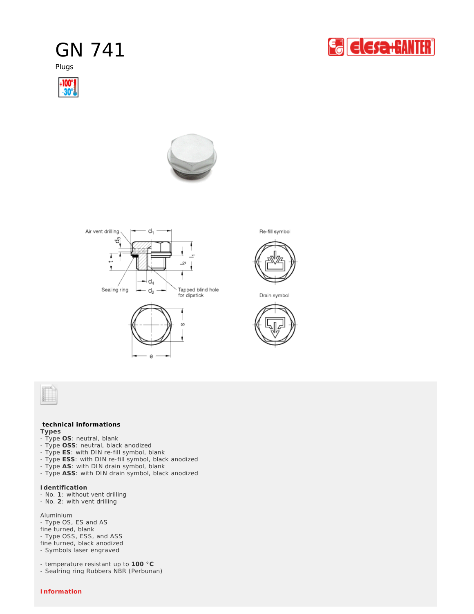## GN 741

Plugs









Re-fill symbol



Drain symbol





## **technical informations**

**Types**

- Type **OS**: neutral, blank
- Type **OSS**: neutral, black anodized
- Type **ES**: with DIN re-fill symbol, blank
- Type **ESS**: with DIN re-fill symbol, black anodized
- Type **AS**: with DIN drain symbol, blank
- Type **ASS**: with DIN drain symbol, black anodized

**Identification**

- No. **1**: without vent drilling
- No. **2**: with vent drilling

Aluminium

- Type OS, ES and AS fine turned, blank - Type OSS, ESS, and ASS fine turned, black anodized - Symbols laser engraved

- temperature resistant up to **100 °C**

- Sealring ring Rubbers NBR (Perbunan)

*Information*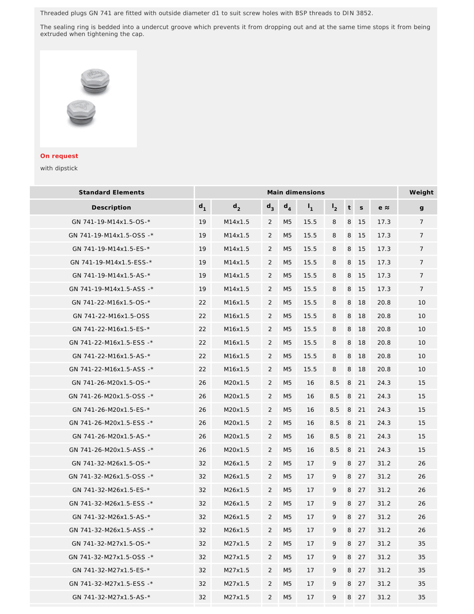Threaded plugs GN 741 are fitted with outside diameter d1 to suit screw holes with BSP threads to DIN 3852.

The sealing ring is bedded into a undercut groove which prevents it from dropping out and at the same time stops it from being extruded when tightening the cap.



## *On request*

with dipstick

| <b>Standard Elements</b> | Main dimensions |                |                |                |                |                |   |             |             | Weight         |
|--------------------------|-----------------|----------------|----------------|----------------|----------------|----------------|---|-------------|-------------|----------------|
| Description              | $d_1$           | d <sub>2</sub> | $d_3$          | $d_4$          | $\mathsf{I}_1$ | I <sub>2</sub> | t | $\mathsf S$ | $e \approx$ | $\mathsf{g}$   |
| GN 741-19-M14x1.5-OS-*   | 19              | M14x1.5        | $\overline{2}$ | M <sub>5</sub> | 15.5           | 8              | 8 | 15          | 17.3        | $\overline{7}$ |
| GN 741-19-M14x1.5-OSS -* | 19              | M14x1.5        | 2              | M <sub>5</sub> | 15.5           | 8              | 8 | 15          | 17.3        | $\overline{7}$ |
| GN 741-19-M14x1.5-ES-*   | 19              | M14x1.5        | 2              | M <sub>5</sub> | 15.5           | 8              | 8 | 15          | 17.3        | $\overline{7}$ |
| GN 741-19-M14x1.5-ESS-*  | 19              | M14x1.5        | 2              | M <sub>5</sub> | 15.5           | 8              | 8 | 15          | 17.3        | $\overline{7}$ |
| GN 741-19-M14x1.5-AS-*   | 19              | M14x1.5        | $\overline{2}$ | M <sub>5</sub> | 15.5           | 8              | 8 | 15          | 17.3        | 7              |
| GN 741-19-M14x1.5-ASS -* | 19              | M14x1.5        | 2              | M <sub>5</sub> | 15.5           | 8              | 8 | 15          | 17.3        | $\overline{7}$ |
| GN 741-22-M16x1.5-OS-*   | 22              | M16x1.5        | $\overline{2}$ | M <sub>5</sub> | 15.5           | 8              | 8 | 18          | 20.8        | 10             |
| GN 741-22-M16x1.5-OSS    | 22              | M16x1.5        | 2              | M <sub>5</sub> | 15.5           | 8              | 8 | 18          | 20.8        | 10             |
| GN 741-22-M16x1.5-ES-*   | 22              | M16x1.5        | 2              | M <sub>5</sub> | 15.5           | 8              | 8 | 18          | 20.8        | 10             |
| GN 741-22-M16x1.5-ESS -* | 22              | M16x1.5        | 2              | M <sub>5</sub> | 15.5           | 8              | 8 | 18          | 20.8        | 10             |
| GN 741-22-M16x1.5-AS-*   | 22              | M16x1.5        | 2              | M <sub>5</sub> | 15.5           | 8              | 8 | 18          | 20.8        | 10             |
| GN 741-22-M16x1.5-ASS -* | 22              | M16x1.5        | 2              | M <sub>5</sub> | 15.5           | 8              | 8 | 18          | 20.8        | 10             |
| GN 741-26-M20x1.5-OS-*   | 26              | M20x1.5        | $\overline{2}$ | M <sub>5</sub> | 16             | 8.5            | 8 | 21          | 24.3        | 15             |
| GN 741-26-M20x1.5-OSS -* | 26              | M20x1.5        | $\overline{2}$ | M5             | 16             | 8.5            | 8 | 21          | 24.3        | 15             |
| GN 741-26-M20x1.5-ES-*   | 26              | M20x1.5        | 2              | M <sub>5</sub> | 16             | 8.5            | 8 | 21          | 24.3        | 15             |
| GN 741-26-M20x1.5-ESS -* | 26              | M20x1.5        | $\overline{2}$ | M <sub>5</sub> | 16             | 8.5            | 8 | 21          | 24.3        | 15             |
| GN 741-26-M20x1.5-AS-*   | 26              | M20x1.5        | 2              | M <sub>5</sub> | 16             | 8.5            | 8 | 21          | 24.3        | 15             |
| GN 741-26-M20x1.5-ASS -* | 26              | M20x1.5        | $\overline{2}$ | M <sub>5</sub> | 16             | 8.5            | 8 | 21          | 24.3        | 15             |
| GN 741-32-M26x1.5-OS-*   | 32              | M26x1.5        | $\overline{2}$ | M <sub>5</sub> | 17             | 9              | 8 | 27          | 31.2        | 26             |
| GN 741-32-M26x1.5-OSS -* | 32              | M26x1.5        | $\overline{2}$ | M <sub>5</sub> | 17             | 9              | 8 | 27          | 31.2        | 26             |
| GN 741-32-M26x1.5-ES-*   | 32              | M26x1.5        | $\overline{2}$ | M <sub>5</sub> | 17             | 9              | 8 | 27          | 31.2        | 26             |
| GN 741-32-M26x1.5-ESS -* | 32              | M26x1.5        | $\overline{2}$ | M5             | 17             | 9              | 8 | 27          | 31.2        | 26             |
| GN 741-32-M26x1.5-AS-*   | 32              | M26x1.5        | $\overline{2}$ | M <sub>5</sub> | 17             | 9              | 8 | 27          | 31.2        | 26             |
| GN 741-32-M26x1.5-ASS -* | 32              | M26x1.5        | $\overline{2}$ | M <sub>5</sub> | 17             | 9              | 8 | 27          | 31.2        | 26             |
| GN 741-32-M27x1.5-OS-*   | 32              | M27x1.5        | 2              | M <sub>5</sub> | 17             | 9              | 8 | 27          | 31.2        | 35             |
| GN 741-32-M27x1.5-OSS -* | 32              | M27x1.5        | 2              | M5             | 17             | 9              | 8 | 27          | 31.2        | 35             |
| GN 741-32-M27x1.5-ES-*   | 32              | M27x1.5        | 2              | M <sub>5</sub> | 17             | 9              | 8 | 27          | 31.2        | 35             |
| GN 741-32-M27x1.5-ESS -* | 32              | M27x1.5        | 2              | M <sub>5</sub> | 17             | 9              | 8 | 27          | 31.2        | 35             |
| GN 741-32-M27x1.5-AS-*   | 32              | M27x1.5        | $\overline{2}$ | M <sub>5</sub> | 17             | 9              |   | 8 27        | 31.2        | 35             |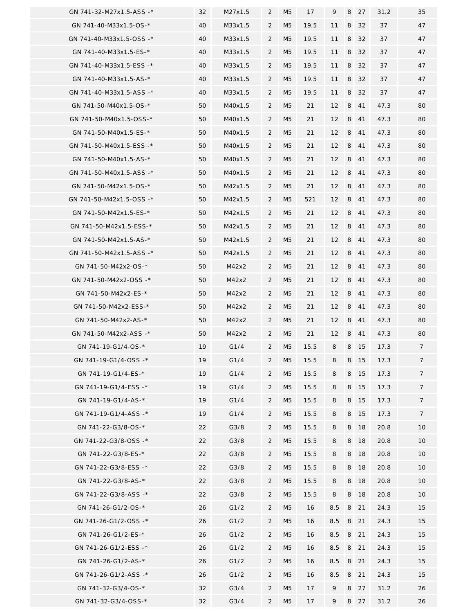| GN 741-32-M27x1.5-ASS -* | 32 | M27x1.5 | $\overline{2}$ | M5             | 17   | 9   | 8 | 27 | 31.2 | 35             |
|--------------------------|----|---------|----------------|----------------|------|-----|---|----|------|----------------|
| GN 741-40-M33x1.5-OS-*   | 40 | M33x1.5 | 2              | M <sub>5</sub> | 19.5 | 11  | 8 | 32 | 37   | 47             |
| GN 741-40-M33x1.5-OSS -* | 40 | M33x1.5 | $\overline{2}$ | M <sub>5</sub> | 19.5 | 11  | 8 | 32 | 37   | 47             |
| GN 741-40-M33x1.5-ES-*   | 40 | M33x1.5 | $\overline{2}$ | M <sub>5</sub> | 19.5 | 11  | 8 | 32 | 37   | 47             |
| GN 741-40-M33x1.5-ESS -* | 40 | M33x1.5 | $\overline{2}$ | M <sub>5</sub> | 19.5 | 11  | 8 | 32 | 37   | 47             |
| GN 741-40-M33x1.5-AS-*   | 40 | M33x1.5 | $\overline{2}$ | M <sub>5</sub> | 19.5 | 11  | 8 | 32 | 37   | 47             |
| GN 741-40-M33x1.5-ASS -* | 40 | M33x1.5 | $\overline{2}$ | M <sub>5</sub> | 19.5 | 11  | 8 | 32 | 37   | 47             |
| GN 741-50-M40x1.5-OS-*   | 50 | M40x1.5 | $\overline{2}$ | M <sub>5</sub> | 21   | 12  | 8 | 41 | 47.3 | 80             |
| GN 741-50-M40x1.5-OSS-*  | 50 | M40x1.5 | 2              | M5             | 21   | 12  | 8 | 41 | 47.3 | 80             |
| GN 741-50-M40x1.5-ES-*   | 50 | M40x1.5 | $\overline{2}$ | M5             | 21   | 12  | 8 | 41 | 47.3 | 80             |
| GN 741-50-M40x1.5-ESS -* | 50 | M40x1.5 | 2              | M <sub>5</sub> | 21   | 12  | 8 | 41 | 47.3 | 80             |
| GN 741-50-M40x1.5-AS-*   | 50 | M40x1.5 | $\overline{2}$ | M <sub>5</sub> | 21   | 12  | 8 | 41 | 47.3 | 80             |
| GN 741-50-M40x1.5-ASS -* | 50 | M40x1.5 | $\overline{2}$ | M <sub>5</sub> | 21   | 12  | 8 | 41 | 47.3 | 80             |
| GN 741-50-M42x1.5-OS-*   | 50 | M42x1.5 | $\overline{2}$ | M5             | 21   | 12  | 8 | 41 | 47.3 | 80             |
| GN 741-50-M42x1.5-OSS -* | 50 | M42x1.5 | $\overline{2}$ | M <sub>5</sub> | 521  | 12  | 8 | 41 | 47.3 | 80             |
| GN 741-50-M42x1.5-ES-*   | 50 | M42x1.5 | $\overline{2}$ | M <sub>5</sub> | 21   | 12  | 8 | 41 | 47.3 | 80             |
| GN 741-50-M42x1.5-ESS-*  | 50 | M42x1.5 | 2              | M5             | 21   | 12  | 8 | 41 | 47.3 | 80             |
| GN 741-50-M42x1.5-AS-*   | 50 | M42x1.5 | $\overline{2}$ | M <sub>5</sub> | 21   | 12  | 8 | 41 | 47.3 | 80             |
| GN 741-50-M42x1.5-ASS -* | 50 | M42x1.5 | $\overline{2}$ | M <sub>5</sub> | 21   | 12  | 8 | 41 | 47.3 | 80             |
| GN 741-50-M42x2-OS-*     | 50 | M42x2   | $\overline{2}$ | M <sub>5</sub> | 21   | 12  | 8 | 41 | 47.3 | 80             |
| GN 741-50-M42x2-OSS -*   | 50 | M42x2   | $\overline{2}$ | M <sub>5</sub> | 21   | 12  | 8 | 41 | 47.3 | 80             |
| GN 741-50-M42x2-ES-*     | 50 | M42x2   | $\overline{2}$ | M5             | 21   | 12  | 8 | 41 | 47.3 | 80             |
| GN 741-50-M42x2-ESS-*    | 50 | M42x2   | $\overline{2}$ | M <sub>5</sub> | 21   | 12  | 8 | 41 | 47.3 | 80             |
| GN 741-50-M42x2-AS-*     | 50 | M42x2   | 2              | M5             | 21   | 12  | 8 | 41 | 47.3 | 80             |
| GN 741-50-M42x2-ASS -*   | 50 | M42x2   | 2              | M <sub>5</sub> | 21   | 12  | 8 | 41 | 47.3 | 80             |
| GN 741-19-G1/4-OS-*      | 19 | G1/4    | $\overline{2}$ | M5             | 15.5 | 8   | 8 | 15 | 17.3 | $\overline{7}$ |
| GN 741-19-G1/4-OSS -*    | 19 | G1/4    | $\overline{2}$ | M <sub>5</sub> | 15.5 | 8   | 8 | 15 | 17.3 | 7              |
| GN 741-19-G1/4-ES-*      | 19 | G1/4    | $\overline{2}$ | M <sub>5</sub> | 15.5 | 8   | 8 | 15 | 17.3 | $\overline{7}$ |
| GN 741-19-G1/4-ESS -*    | 19 | G1/4    | $\overline{2}$ | M <sub>5</sub> | 15.5 | 8   | 8 | 15 | 17.3 | $\overline{7}$ |
| GN 741-19-G1/4-AS-*      | 19 | G1/4    | $\overline{2}$ | M <sub>5</sub> | 15.5 | 8   | 8 | 15 | 17.3 | $\overline{7}$ |
| GN 741-19-G1/4-ASS -*    | 19 | G1/4    | $\overline{2}$ | M <sub>5</sub> | 15.5 | 8   | 8 | 15 | 17.3 | $\overline{7}$ |
| GN 741-22-G3/8-OS-*      | 22 | G3/8    | $\overline{2}$ | M5             | 15.5 | 8   | 8 | 18 | 20.8 | 10             |
| GN 741-22-G3/8-OSS -*    | 22 | G3/8    | $\overline{2}$ | M <sub>5</sub> | 15.5 | 8   | 8 | 18 | 20.8 | 10             |
| GN 741-22-G3/8-ES-*      | 22 | G3/8    | 2              | M5             | 15.5 | 8   | 8 | 18 | 20.8 | 10             |
| GN 741-22-G3/8-ESS -*    | 22 | G3/8    | $\overline{2}$ | M <sub>5</sub> | 15.5 | 8   | 8 | 18 | 20.8 | 10             |
| GN 741-22-G3/8-AS-*      | 22 | G3/8    | $\overline{2}$ | M5             | 15.5 | 8   | 8 | 18 | 20.8 | 10             |
| GN 741-22-G3/8-ASS -*    | 22 | G3/8    | $\overline{2}$ | M <sub>5</sub> | 15.5 | 8   | 8 | 18 | 20.8 | 10             |
| GN 741-26-G1/2-OS-*      | 26 | G1/2    | $\overline{2}$ | M <sub>5</sub> | 16   | 8.5 | 8 | 21 | 24.3 | 15             |
| GN 741-26-G1/2-OSS -*    | 26 | G1/2    | $\overline{2}$ | M <sub>5</sub> | 16   | 8.5 | 8 | 21 | 24.3 | 15             |
| GN 741-26-G1/2-ES-*      | 26 | G1/2    | $\overline{2}$ | M <sub>5</sub> | 16   | 8.5 | 8 | 21 | 24.3 | 15             |
| GN 741-26-G1/2-ESS -*    | 26 | G1/2    | 2              | M <sub>5</sub> | 16   | 8.5 | 8 | 21 | 24.3 | 15             |
| GN 741-26-G1/2-AS-*      | 26 | G1/2    | 2              | M <sub>5</sub> | 16   | 8.5 | 8 | 21 | 24.3 | 15             |
| GN 741-26-G1/2-ASS -*    | 26 | G1/2    | $\overline{2}$ | M5             | 16   | 8.5 | 8 | 21 | 24.3 | 15             |
| GN 741-32-G3/4-OS-*      | 32 | G3/4    | $\overline{2}$ | M <sub>5</sub> | 17   | 9   | 8 | 27 | 31.2 | 26             |
| GN 741-32-G3/4-OSS-*     | 32 | G3/4    | $\overline{2}$ | M5             | 17   | 9   | 8 | 27 | 31.2 | 26             |